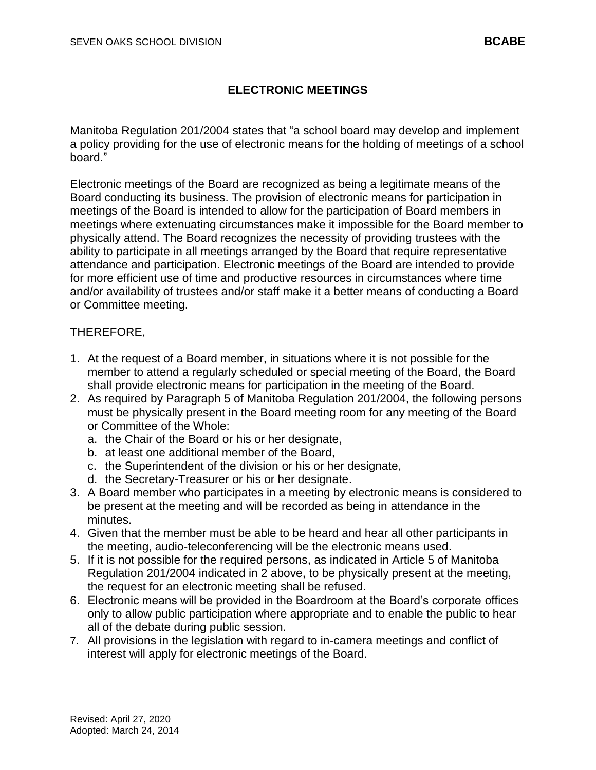## **ELECTRONIC MEETINGS**

Manitoba Regulation 201/2004 states that "a school board may develop and implement a policy providing for the use of electronic means for the holding of meetings of a school board."

Electronic meetings of the Board are recognized as being a legitimate means of the Board conducting its business. The provision of electronic means for participation in meetings of the Board is intended to allow for the participation of Board members in meetings where extenuating circumstances make it impossible for the Board member to physically attend. The Board recognizes the necessity of providing trustees with the ability to participate in all meetings arranged by the Board that require representative attendance and participation. Electronic meetings of the Board are intended to provide for more efficient use of time and productive resources in circumstances where time and/or availability of trustees and/or staff make it a better means of conducting a Board or Committee meeting.

## THEREFORE,

- 1. At the request of a Board member, in situations where it is not possible for the member to attend a regularly scheduled or special meeting of the Board, the Board shall provide electronic means for participation in the meeting of the Board.
- 2. As required by Paragraph 5 of Manitoba Regulation 201/2004, the following persons must be physically present in the Board meeting room for any meeting of the Board or Committee of the Whole:
	- a. the Chair of the Board or his or her designate,
	- b. at least one additional member of the Board,
	- c. the Superintendent of the division or his or her designate,
	- d. the Secretary-Treasurer or his or her designate.
- 3. A Board member who participates in a meeting by electronic means is considered to be present at the meeting and will be recorded as being in attendance in the minutes.
- 4. Given that the member must be able to be heard and hear all other participants in the meeting, audio-teleconferencing will be the electronic means used.
- 5. If it is not possible for the required persons, as indicated in Article 5 of Manitoba Regulation 201/2004 indicated in 2 above, to be physically present at the meeting, the request for an electronic meeting shall be refused.
- 6. Electronic means will be provided in the Boardroom at the Board's corporate offices only to allow public participation where appropriate and to enable the public to hear all of the debate during public session.
- 7. All provisions in the legislation with regard to in-camera meetings and conflict of interest will apply for electronic meetings of the Board.